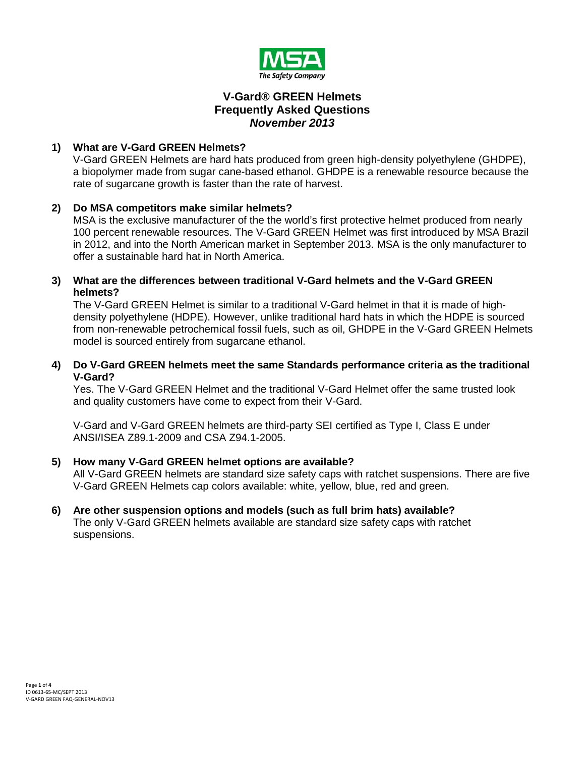

# **V-Gard® GREEN Helmets Frequently Asked Questions** *November 2013*

# **1) What are V-Gard GREEN Helmets?**

V-Gard GREEN Helmets are hard hats produced from green high-density polyethylene (GHDPE), a biopolymer made from sugar cane-based ethanol. GHDPE is a renewable resource because the rate of sugarcane growth is faster than the rate of harvest.

# **2) Do MSA competitors make similar helmets?**

MSA is the exclusive manufacturer of the the world's first protective helmet produced from nearly 100 percent renewable resources. The V-Gard GREEN Helmet was first introduced by MSA Brazil in 2012, and into the North American market in September 2013. MSA is the only manufacturer to offer a sustainable hard hat in North America.

### **3) What are the differences between traditional V-Gard helmets and the V-Gard GREEN helmets?**

The V-Gard GREEN Helmet is similar to a traditional V-Gard helmet in that it is made of highdensity polyethylene (HDPE). However, unlike traditional hard hats in which the HDPE is sourced from non-renewable petrochemical fossil fuels, such as oil, GHDPE in the V-Gard GREEN Helmets model is sourced entirely from sugarcane ethanol.

# **4) Do V-Gard GREEN helmets meet the same Standards performance criteria as the traditional V-Gard?**

Yes. The V-Gard GREEN Helmet and the traditional V-Gard Helmet offer the same trusted look and quality customers have come to expect from their V-Gard.

V-Gard and V-Gard GREEN helmets are third-party SEI certified as Type I, Class E under ANSI/ISEA Z89.1-2009 and CSA Z94.1-2005.

# **5) How many V-Gard GREEN helmet options are available?**

All V-Gard GREEN helmets are standard size safety caps with ratchet suspensions. There are five V-Gard GREEN Helmets cap colors available: white, yellow, blue, red and green.

#### <span id="page-0-0"></span>**6) Are other suspension options and models (such as full brim hats) available?** The only V-Gard GREEN helmets available are standard size safety caps with ratchet suspensions.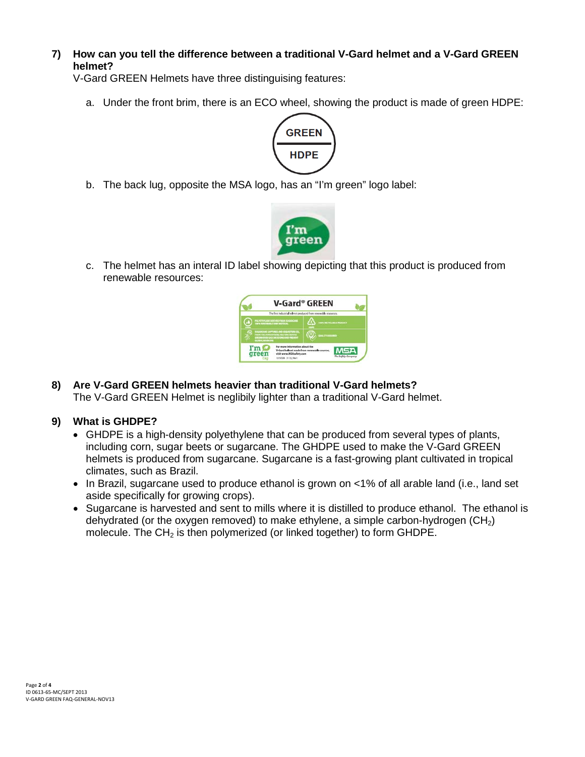**7) How can you tell the difference between a traditional V-Gard helmet and a V-Gard GREEN helmet?**

V-Gard GREEN Helmets have three distinguising features:

a. Under the front brim, there is an ECO wheel, showing the product is made of green HDPE:



b. The back lug, opposite the MSA logo, has an "I'm green" logo label:



c. The helmet has an interal ID label showing depicting that this product is produced from renewable resources:



**8) Are V-Gard GREEN helmets heavier than traditional V-Gard helmets?** The V-Gard GREEN Helmet is neglibily lighter than a traditional V-Gard helmet.

# **9) What is GHDPE?**

- GHDPE is a high-density polyethylene that can be produced from several types of plants, including corn, sugar beets or sugarcane. The GHDPE used to make the V-Gard GREEN helmets is produced from sugarcane. Sugarcane is a fast-growing plant cultivated in tropical climates, such as Brazil.
- In Brazil, sugarcane used to produce ethanol is grown on <1% of all arable land (i.e., land set aside specifically for growing crops).
- Sugarcane is harvested and sent to mills where it is distilled to produce ethanol. The ethanol is dehydrated (or the oxygen removed) to make ethylene, a simple carbon-hydrogen  $(CH<sub>2</sub>)$ molecule. The  $CH<sub>2</sub>$  is then polymerized (or linked together) to form GHDPE.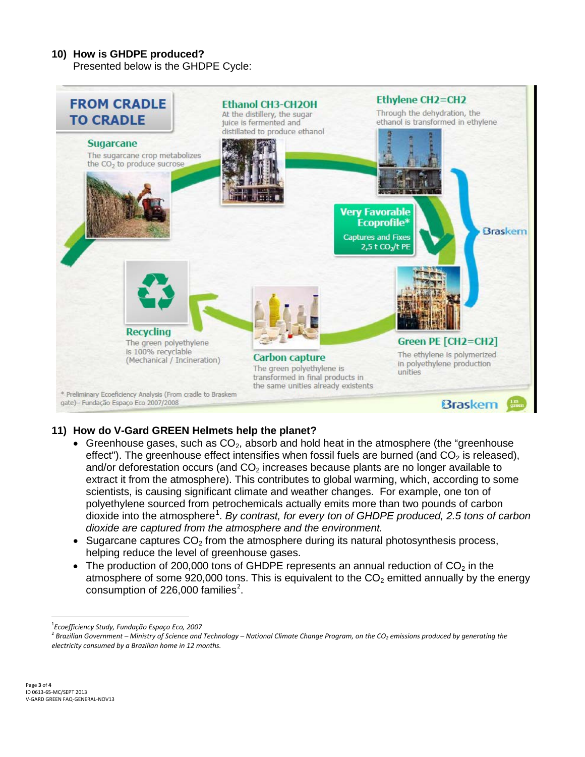### **10) How is GHDPE produced?**

Presented below is the GHDPE Cycle:



# **11) How do V-Gard GREEN Helmets help the planet?**

- Greenhouse gases, such as  $CO<sub>2</sub>$ , absorb and hold heat in the atmosphere (the "greenhouse" [effect"](http://environment.about.com/od/globalwarming/a/greenhouse.htm)). The greenhouse effect intensifies when fossil fuels are burned (and  $CO<sub>2</sub>$  is released), and/or deforestation occurs (and  $CO<sub>2</sub>$  increases because plants are no longer available to extract it from the atmosphere). This contributes to global warming, which, according to some scientists, is causing significant climate and weather changes. For example, one ton of polyethylene sourced from petrochemicals actually emits more than two pounds of carbon dioxide into the atmosphere<sup>[1](#page-0-0)</sup>. By contrast, for every ton of GHDPE produced, 2.5 tons of carbon *dioxide are captured from the atmosphere and the environment.*
- Sugarcane captures  $CO<sub>2</sub>$  from the atmosphere during its natural photosynthesis process, helping reduce the level of greenhouse gases.
- The production of 200,000 tons of GHDPE represents an annual reduction of  $CO<sub>2</sub>$  in the atmosphere of some 920,000 tons. This is equivalent to the  $CO<sub>2</sub>$  emitted annually by the energy consumption of [2](#page-2-0)26,000 families<sup>2</sup>.

 $\frac{1}{1}$ *Ecoefficiency Study, Fundação Espaço Eco, 2007*

<span id="page-2-0"></span><sup>&</sup>lt;sup>2</sup> Brazilian Government – Ministry of Science and Technology – National Climate Change Program, on the CO<sub>2</sub> emissions produced by generating the *electricity consumed by a Brazilian home in 12 months.*